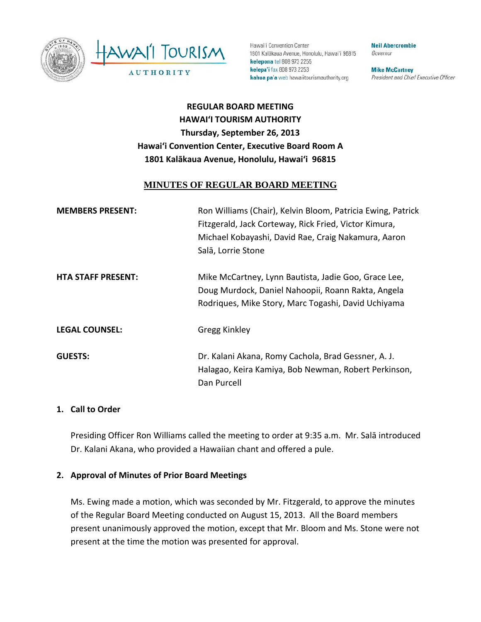



Hawai'i Convention Center 1801 Kalākaua Avenue, Honolulu, Hawai'i 96815 kelepona tel 808 973 2255 kelepa'i fax 808 973 2253 kahua pa'a web hawaiitourismauthority.org

**Neil Abercrombie** Governor

**Mike McCartney** President and Chief Executive Officer

# **REGULAR BOARD MEETING HAWAI'I TOURISM AUTHORITY Thursday, September 26, 2013 Hawai'i Convention Center, Executive Board Room A 1801 Kalākaua Avenue, Honolulu, Hawai'i 96815**

### **MINUTES OF REGULAR BOARD MEETING**

| <b>MEMBERS PRESENT:</b>   | Ron Williams (Chair), Kelvin Bloom, Patricia Ewing, Patrick<br>Fitzgerald, Jack Corteway, Rick Fried, Victor Kimura,<br>Michael Kobayashi, David Rae, Craig Nakamura, Aaron<br>Salā, Lorrie Stone |
|---------------------------|---------------------------------------------------------------------------------------------------------------------------------------------------------------------------------------------------|
| <b>HTA STAFF PRESENT:</b> | Mike McCartney, Lynn Bautista, Jadie Goo, Grace Lee,<br>Doug Murdock, Daniel Nahoopii, Roann Rakta, Angela<br>Rodriques, Mike Story, Marc Togashi, David Uchiyama                                 |
| <b>LEGAL COUNSEL:</b>     | Gregg Kinkley                                                                                                                                                                                     |
| <b>GUESTS:</b>            | Dr. Kalani Akana, Romy Cachola, Brad Gessner, A. J.<br>Halagao, Keira Kamiya, Bob Newman, Robert Perkinson,<br>Dan Purcell                                                                        |

#### **1. Call to Order**

Presiding Officer Ron Williams called the meeting to order at 9:35 a.m. Mr. Salā introduced Dr. Kalani Akana, who provided a Hawaiian chant and offered a pule.

### **2. Approval of Minutes of Prior Board Meetings**

Ms. Ewing made a motion, which was seconded by Mr. Fitzgerald, to approve the minutes of the Regular Board Meeting conducted on August 15, 2013. All the Board members present unanimously approved the motion, except that Mr. Bloom and Ms. Stone were not present at the time the motion was presented for approval.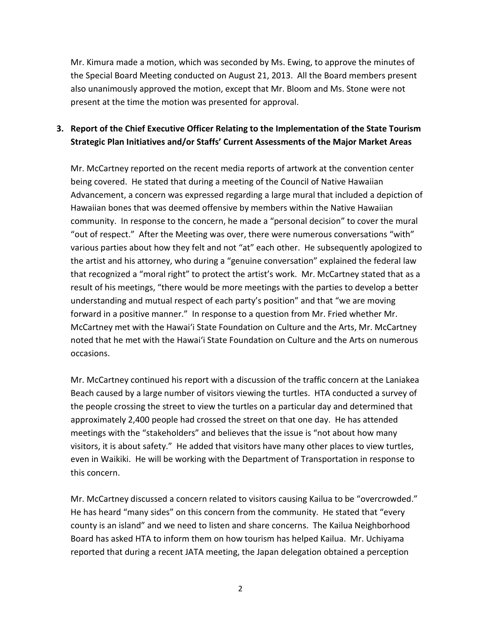Mr. Kimura made a motion, which was seconded by Ms. Ewing, to approve the minutes of the Special Board Meeting conducted on August 21, 2013. All the Board members present also unanimously approved the motion, except that Mr. Bloom and Ms. Stone were not present at the time the motion was presented for approval.

## **3. Report of the Chief Executive Officer Relating to the Implementation of the State Tourism Strategic Plan Initiatives and/or Staffs' Current Assessments of the Major Market Areas**

Mr. McCartney reported on the recent media reports of artwork at the convention center being covered. He stated that during a meeting of the Council of Native Hawaiian Advancement, a concern was expressed regarding a large mural that included a depiction of Hawaiian bones that was deemed offensive by members within the Native Hawaiian community. In response to the concern, he made a "personal decision" to cover the mural "out of respect." After the Meeting was over, there were numerous conversations "with" various parties about how they felt and not "at" each other. He subsequently apologized to the artist and his attorney, who during a "genuine conversation" explained the federal law that recognized a "moral right" to protect the artist's work. Mr. McCartney stated that as a result of his meetings, "there would be more meetings with the parties to develop a better understanding and mutual respect of each party's position" and that "we are moving forward in a positive manner." In response to a question from Mr. Fried whether Mr. McCartney met with the Hawai'i State Foundation on Culture and the Arts, Mr. McCartney noted that he met with the Hawai'i State Foundation on Culture and the Arts on numerous occasions.

Mr. McCartney continued his report with a discussion of the traffic concern at the Laniakea Beach caused by a large number of visitors viewing the turtles. HTA conducted a survey of the people crossing the street to view the turtles on a particular day and determined that approximately 2,400 people had crossed the street on that one day. He has attended meetings with the "stakeholders" and believes that the issue is "not about how many visitors, it is about safety." He added that visitors have many other places to view turtles, even in Waikiki. He will be working with the Department of Transportation in response to this concern.

Mr. McCartney discussed a concern related to visitors causing Kailua to be "overcrowded." He has heard "many sides" on this concern from the community. He stated that "every county is an island" and we need to listen and share concerns. The Kailua Neighborhood Board has asked HTA to inform them on how tourism has helped Kailua. Mr. Uchiyama reported that during a recent JATA meeting, the Japan delegation obtained a perception

2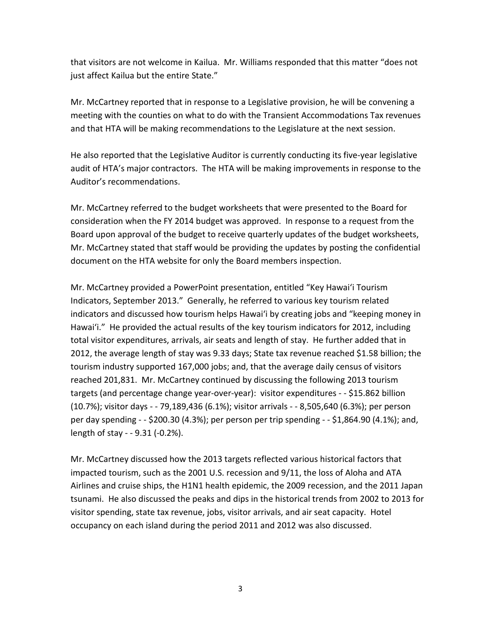that visitors are not welcome in Kailua. Mr. Williams responded that this matter "does not just affect Kailua but the entire State."

Mr. McCartney reported that in response to a Legislative provision, he will be convening a meeting with the counties on what to do with the Transient Accommodations Tax revenues and that HTA will be making recommendations to the Legislature at the next session.

He also reported that the Legislative Auditor is currently conducting its five-year legislative audit of HTA's major contractors. The HTA will be making improvements in response to the Auditor's recommendations.

Mr. McCartney referred to the budget worksheets that were presented to the Board for consideration when the FY 2014 budget was approved. In response to a request from the Board upon approval of the budget to receive quarterly updates of the budget worksheets, Mr. McCartney stated that staff would be providing the updates by posting the confidential document on the HTA website for only the Board members inspection.

Mr. McCartney provided a PowerPoint presentation, entitled "Key Hawai'i Tourism Indicators, September 2013." Generally, he referred to various key tourism related indicators and discussed how tourism helps Hawai'i by creating jobs and "keeping money in Hawai'i." He provided the actual results of the key tourism indicators for 2012, including total visitor expenditures, arrivals, air seats and length of stay. He further added that in 2012, the average length of stay was 9.33 days; State tax revenue reached \$1.58 billion; the tourism industry supported 167,000 jobs; and, that the average daily census of visitors reached 201,831. Mr. McCartney continued by discussing the following 2013 tourism targets (and percentage change year-over-year): visitor expenditures - - \$15.862 billion (10.7%); visitor days - - 79,189,436 (6.1%); visitor arrivals - - 8,505,640 (6.3%); per person per day spending - - \$200.30 (4.3%); per person per trip spending - - \$1,864.90 (4.1%); and, length of stay - - 9.31 (-0.2%).

Mr. McCartney discussed how the 2013 targets reflected various historical factors that impacted tourism, such as the 2001 U.S. recession and 9/11, the loss of Aloha and ATA Airlines and cruise ships, the H1N1 health epidemic, the 2009 recession, and the 2011 Japan tsunami. He also discussed the peaks and dips in the historical trends from 2002 to 2013 for visitor spending, state tax revenue, jobs, visitor arrivals, and air seat capacity. Hotel occupancy on each island during the period 2011 and 2012 was also discussed.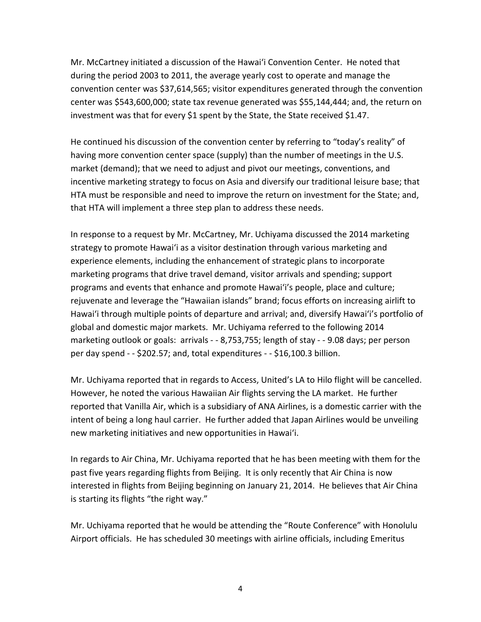Mr. McCartney initiated a discussion of the Hawai'i Convention Center. He noted that during the period 2003 to 2011, the average yearly cost to operate and manage the convention center was \$37,614,565; visitor expenditures generated through the convention center was \$543,600,000; state tax revenue generated was \$55,144,444; and, the return on investment was that for every \$1 spent by the State, the State received \$1.47.

He continued his discussion of the convention center by referring to "today's reality" of having more convention center space (supply) than the number of meetings in the U.S. market (demand); that we need to adjust and pivot our meetings, conventions, and incentive marketing strategy to focus on Asia and diversify our traditional leisure base; that HTA must be responsible and need to improve the return on investment for the State; and, that HTA will implement a three step plan to address these needs.

In response to a request by Mr. McCartney, Mr. Uchiyama discussed the 2014 marketing strategy to promote Hawai'i as a visitor destination through various marketing and experience elements, including the enhancement of strategic plans to incorporate marketing programs that drive travel demand, visitor arrivals and spending; support programs and events that enhance and promote Hawai'i's people, place and culture; rejuvenate and leverage the "Hawaiian islands" brand; focus efforts on increasing airlift to Hawai'i through multiple points of departure and arrival; and, diversify Hawai'i's portfolio of global and domestic major markets. Mr. Uchiyama referred to the following 2014 marketing outlook or goals: arrivals - - 8,753,755; length of stay - - 9.08 days; per person per day spend - - \$202.57; and, total expenditures - - \$16,100.3 billion.

Mr. Uchiyama reported that in regards to Access, United's LA to Hilo flight will be cancelled. However, he noted the various Hawaiian Air flights serving the LA market. He further reported that Vanilla Air, which is a subsidiary of ANA Airlines, is a domestic carrier with the intent of being a long haul carrier. He further added that Japan Airlines would be unveiling new marketing initiatives and new opportunities in Hawai'i.

In regards to Air China, Mr. Uchiyama reported that he has been meeting with them for the past five years regarding flights from Beijing. It is only recently that Air China is now interested in flights from Beijing beginning on January 21, 2014. He believes that Air China is starting its flights "the right way."

Mr. Uchiyama reported that he would be attending the "Route Conference" with Honolulu Airport officials. He has scheduled 30 meetings with airline officials, including Emeritus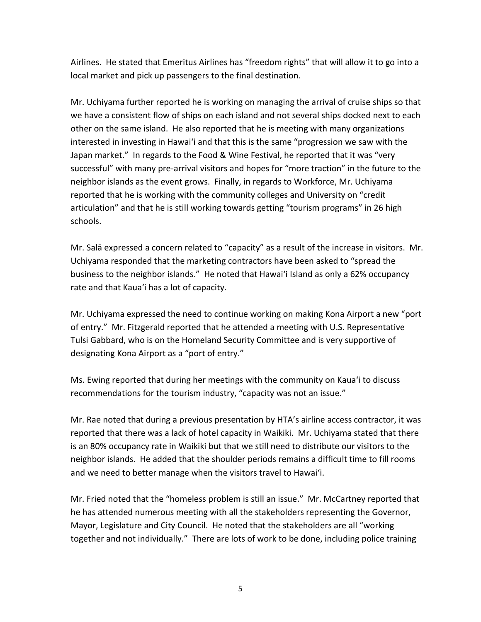Airlines. He stated that Emeritus Airlines has "freedom rights" that will allow it to go into a local market and pick up passengers to the final destination.

Mr. Uchiyama further reported he is working on managing the arrival of cruise ships so that we have a consistent flow of ships on each island and not several ships docked next to each other on the same island. He also reported that he is meeting with many organizations interested in investing in Hawai'i and that this is the same "progression we saw with the Japan market." In regards to the Food & Wine Festival, he reported that it was "very successful" with many pre-arrival visitors and hopes for "more traction" in the future to the neighbor islands as the event grows. Finally, in regards to Workforce, Mr. Uchiyama reported that he is working with the community colleges and University on "credit articulation" and that he is still working towards getting "tourism programs" in 26 high schools.

Mr. Salā expressed a concern related to "capacity" as a result of the increase in visitors. Mr. Uchiyama responded that the marketing contractors have been asked to "spread the business to the neighbor islands." He noted that Hawai'i Island as only a 62% occupancy rate and that Kaua'i has a lot of capacity.

Mr. Uchiyama expressed the need to continue working on making Kona Airport a new "port of entry." Mr. Fitzgerald reported that he attended a meeting with U.S. Representative Tulsi Gabbard, who is on the Homeland Security Committee and is very supportive of designating Kona Airport as a "port of entry."

Ms. Ewing reported that during her meetings with the community on Kaua'i to discuss recommendations for the tourism industry, "capacity was not an issue."

Mr. Rae noted that during a previous presentation by HTA's airline access contractor, it was reported that there was a lack of hotel capacity in Waikiki. Mr. Uchiyama stated that there is an 80% occupancy rate in Waikiki but that we still need to distribute our visitors to the neighbor islands. He added that the shoulder periods remains a difficult time to fill rooms and we need to better manage when the visitors travel to Hawai'i.

Mr. Fried noted that the "homeless problem is still an issue." Mr. McCartney reported that he has attended numerous meeting with all the stakeholders representing the Governor, Mayor, Legislature and City Council. He noted that the stakeholders are all "working together and not individually." There are lots of work to be done, including police training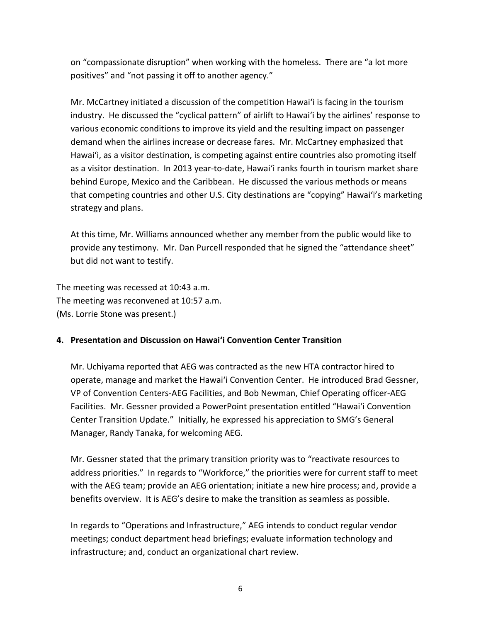on "compassionate disruption" when working with the homeless. There are "a lot more positives" and "not passing it off to another agency."

Mr. McCartney initiated a discussion of the competition Hawai'i is facing in the tourism industry. He discussed the "cyclical pattern" of airlift to Hawai'i by the airlines' response to various economic conditions to improve its yield and the resulting impact on passenger demand when the airlines increase or decrease fares. Mr. McCartney emphasized that Hawai'i, as a visitor destination, is competing against entire countries also promoting itself as a visitor destination. In 2013 year-to-date, Hawai'i ranks fourth in tourism market share behind Europe, Mexico and the Caribbean. He discussed the various methods or means that competing countries and other U.S. City destinations are "copying" Hawai'i's marketing strategy and plans.

At this time, Mr. Williams announced whether any member from the public would like to provide any testimony. Mr. Dan Purcell responded that he signed the "attendance sheet" but did not want to testify.

The meeting was recessed at 10:43 a.m. The meeting was reconvened at 10:57 a.m. (Ms. Lorrie Stone was present.)

### **4. Presentation and Discussion on Hawai'i Convention Center Transition**

Mr. Uchiyama reported that AEG was contracted as the new HTA contractor hired to operate, manage and market the Hawai'i Convention Center. He introduced Brad Gessner, VP of Convention Centers-AEG Facilities, and Bob Newman, Chief Operating officer-AEG Facilities. Mr. Gessner provided a PowerPoint presentation entitled "Hawai'i Convention Center Transition Update." Initially, he expressed his appreciation to SMG's General Manager, Randy Tanaka, for welcoming AEG.

Mr. Gessner stated that the primary transition priority was to "reactivate resources to address priorities." In regards to "Workforce," the priorities were for current staff to meet with the AEG team; provide an AEG orientation; initiate a new hire process; and, provide a benefits overview. It is AEG's desire to make the transition as seamless as possible.

In regards to "Operations and Infrastructure," AEG intends to conduct regular vendor meetings; conduct department head briefings; evaluate information technology and infrastructure; and, conduct an organizational chart review.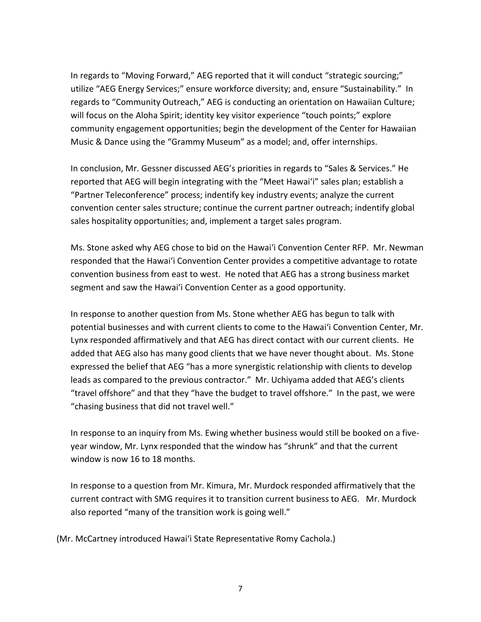In regards to "Moving Forward," AEG reported that it will conduct "strategic sourcing;" utilize "AEG Energy Services;" ensure workforce diversity; and, ensure "Sustainability." In regards to "Community Outreach," AEG is conducting an orientation on Hawaiian Culture; will focus on the Aloha Spirit; identity key visitor experience "touch points;" explore community engagement opportunities; begin the development of the Center for Hawaiian Music & Dance using the "Grammy Museum" as a model; and, offer internships.

In conclusion, Mr. Gessner discussed AEG's priorities in regards to "Sales & Services." He reported that AEG will begin integrating with the "Meet Hawai'i" sales plan; establish a "Partner Teleconference" process; indentify key industry events; analyze the current convention center sales structure; continue the current partner outreach; indentify global sales hospitality opportunities; and, implement a target sales program.

Ms. Stone asked why AEG chose to bid on the Hawai'i Convention Center RFP. Mr. Newman responded that the Hawai'i Convention Center provides a competitive advantage to rotate convention business from east to west. He noted that AEG has a strong business market segment and saw the Hawai'i Convention Center as a good opportunity.

In response to another question from Ms. Stone whether AEG has begun to talk with potential businesses and with current clients to come to the Hawai'i Convention Center, Mr. Lynx responded affirmatively and that AEG has direct contact with our current clients. He added that AEG also has many good clients that we have never thought about. Ms. Stone expressed the belief that AEG "has a more synergistic relationship with clients to develop leads as compared to the previous contractor." Mr. Uchiyama added that AEG's clients "travel offshore" and that they "have the budget to travel offshore." In the past, we were "chasing business that did not travel well."

In response to an inquiry from Ms. Ewing whether business would still be booked on a fiveyear window, Mr. Lynx responded that the window has "shrunk" and that the current window is now 16 to 18 months.

In response to a question from Mr. Kimura, Mr. Murdock responded affirmatively that the current contract with SMG requires it to transition current business to AEG. Mr. Murdock also reported "many of the transition work is going well."

(Mr. McCartney introduced Hawai'i State Representative Romy Cachola.)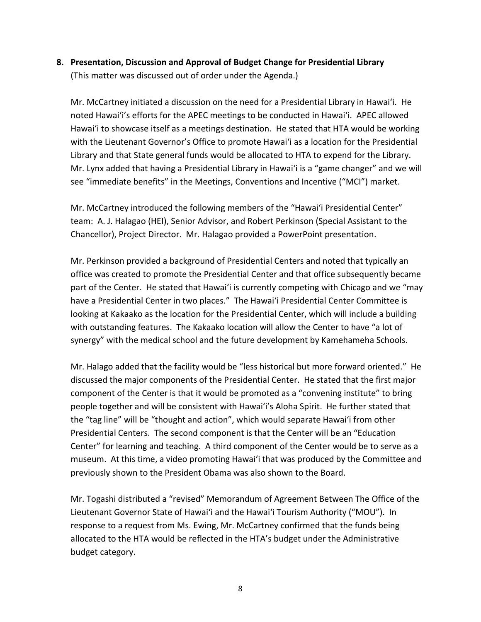## **8. Presentation, Discussion and Approval of Budget Change for Presidential Library** (This matter was discussed out of order under the Agenda.)

Mr. McCartney initiated a discussion on the need for a Presidential Library in Hawai'i. He noted Hawai'i's efforts for the APEC meetings to be conducted in Hawai'i. APEC allowed Hawai'i to showcase itself as a meetings destination. He stated that HTA would be working with the Lieutenant Governor's Office to promote Hawai'i as a location for the Presidential Library and that State general funds would be allocated to HTA to expend for the Library. Mr. Lynx added that having a Presidential Library in Hawai'i is a "game changer" and we will see "immediate benefits" in the Meetings, Conventions and Incentive ("MCI") market.

Mr. McCartney introduced the following members of the "Hawai'i Presidential Center" team: A. J. Halagao (HEI), Senior Advisor, and Robert Perkinson (Special Assistant to the Chancellor), Project Director. Mr. Halagao provided a PowerPoint presentation.

Mr. Perkinson provided a background of Presidential Centers and noted that typically an office was created to promote the Presidential Center and that office subsequently became part of the Center. He stated that Hawai'i is currently competing with Chicago and we "may have a Presidential Center in two places." The Hawai'i Presidential Center Committee is looking at Kakaako as the location for the Presidential Center, which will include a building with outstanding features. The Kakaako location will allow the Center to have "a lot of synergy" with the medical school and the future development by Kamehameha Schools.

Mr. Halago added that the facility would be "less historical but more forward oriented." He discussed the major components of the Presidential Center. He stated that the first major component of the Center is that it would be promoted as a "convening institute" to bring people together and will be consistent with Hawai'i's Aloha Spirit. He further stated that the "tag line" will be "thought and action", which would separate Hawai'i from other Presidential Centers. The second component is that the Center will be an "Education Center" for learning and teaching. A third component of the Center would be to serve as a museum. At this time, a video promoting Hawai'i that was produced by the Committee and previously shown to the President Obama was also shown to the Board.

Mr. Togashi distributed a "revised" Memorandum of Agreement Between The Office of the Lieutenant Governor State of Hawai'i and the Hawai'i Tourism Authority ("MOU"). In response to a request from Ms. Ewing, Mr. McCartney confirmed that the funds being allocated to the HTA would be reflected in the HTA's budget under the Administrative budget category.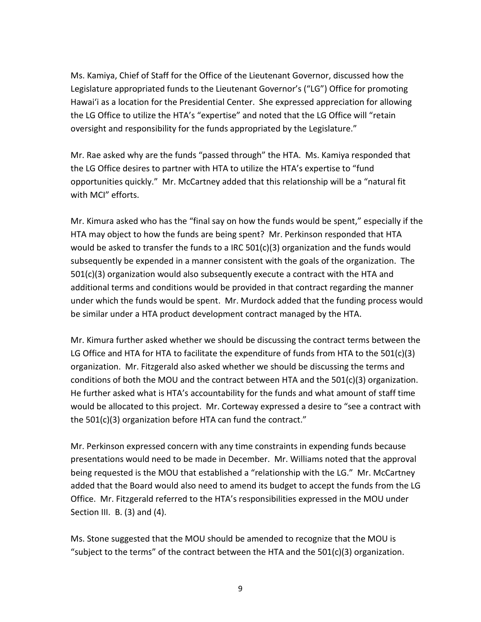Ms. Kamiya, Chief of Staff for the Office of the Lieutenant Governor, discussed how the Legislature appropriated funds to the Lieutenant Governor's ("LG") Office for promoting Hawai'i as a location for the Presidential Center. She expressed appreciation for allowing the LG Office to utilize the HTA's "expertise" and noted that the LG Office will "retain oversight and responsibility for the funds appropriated by the Legislature."

Mr. Rae asked why are the funds "passed through" the HTA. Ms. Kamiya responded that the LG Office desires to partner with HTA to utilize the HTA's expertise to "fund opportunities quickly." Mr. McCartney added that this relationship will be a "natural fit with MCI" efforts.

Mr. Kimura asked who has the "final say on how the funds would be spent," especially if the HTA may object to how the funds are being spent? Mr. Perkinson responded that HTA would be asked to transfer the funds to a IRC  $501(c)(3)$  organization and the funds would subsequently be expended in a manner consistent with the goals of the organization. The  $501(c)(3)$  organization would also subsequently execute a contract with the HTA and additional terms and conditions would be provided in that contract regarding the manner under which the funds would be spent. Mr. Murdock added that the funding process would be similar under a HTA product development contract managed by the HTA.

Mr. Kimura further asked whether we should be discussing the contract terms between the LG Office and HTA for HTA to facilitate the expenditure of funds from HTA to the  $501(c)(3)$ organization. Mr. Fitzgerald also asked whether we should be discussing the terms and conditions of both the MOU and the contract between HTA and the 501(c)(3) organization. He further asked what is HTA's accountability for the funds and what amount of staff time would be allocated to this project. Mr. Corteway expressed a desire to "see a contract with the 501(c)(3) organization before HTA can fund the contract."

Mr. Perkinson expressed concern with any time constraints in expending funds because presentations would need to be made in December. Mr. Williams noted that the approval being requested is the MOU that established a "relationship with the LG." Mr. McCartney added that the Board would also need to amend its budget to accept the funds from the LG Office. Mr. Fitzgerald referred to the HTA's responsibilities expressed in the MOU under Section III. B. (3) and (4).

Ms. Stone suggested that the MOU should be amended to recognize that the MOU is "subject to the terms" of the contract between the HTA and the  $501(c)(3)$  organization.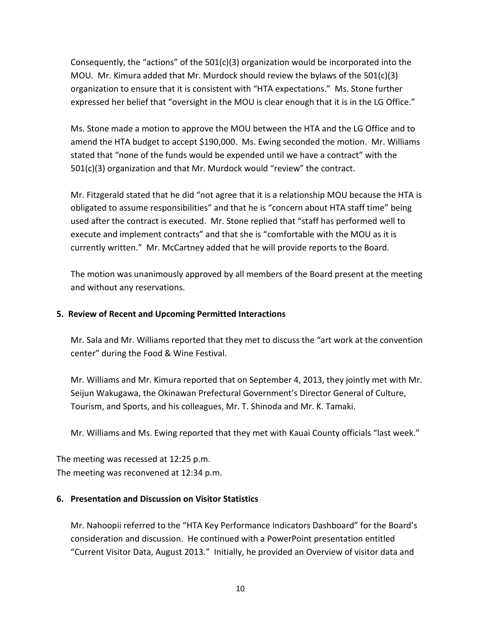Consequently, the "actions" of the  $501(c)(3)$  organization would be incorporated into the MOU. Mr. Kimura added that Mr. Murdock should review the bylaws of the  $501(c)(3)$ organization to ensure that it is consistent with "HTA expectations." Ms. Stone further expressed her belief that "oversight in the MOU is clear enough that it is in the LG Office."

Ms. Stone made a motion to approve the MOU between the HTA and the LG Office and to amend the HTA budget to accept \$190,000. Ms. Ewing seconded the motion. Mr. Williams stated that "none of the funds would be expended until we have a contract" with the 501(c)(3) organization and that Mr. Murdock would "review" the contract.

Mr. Fitzgerald stated that he did "not agree that it is a relationship MOU because the HTA is obligated to assume responsibilities" and that he is "concern about HTA staff time" being used after the contract is executed. Mr. Stone replied that "staff has performed well to execute and implement contracts" and that she is "comfortable with the MOU as it is currently written." Mr. McCartney added that he will provide reports to the Board.

The motion was unanimously approved by all members of the Board present at the meeting and without any reservations.

#### **5. Review of Recent and Upcoming Permitted Interactions**

Mr. Sala and Mr. Williams reported that they met to discuss the "art work at the convention center" during the Food & Wine Festival.

Mr. Williams and Mr. Kimura reported that on September 4, 2013, they jointly met with Mr. Seijun Wakugawa, the Okinawan Prefectural Government's Director General of Culture, Tourism, and Sports, and his colleagues, Mr. T. Shinoda and Mr. K. Tamaki.

Mr. Williams and Ms. Ewing reported that they met with Kauai County officials "last week."

The meeting was recessed at 12:25 p.m. The meeting was reconvened at 12:34 p.m.

### **6. Presentation and Discussion on Visitor Statistics**

Mr. Nahoopii referred to the "HTA Key Performance Indicators Dashboard" for the Board's consideration and discussion. He continued with a PowerPoint presentation entitled "Current Visitor Data, August 2013." Initially, he provided an Overview of visitor data and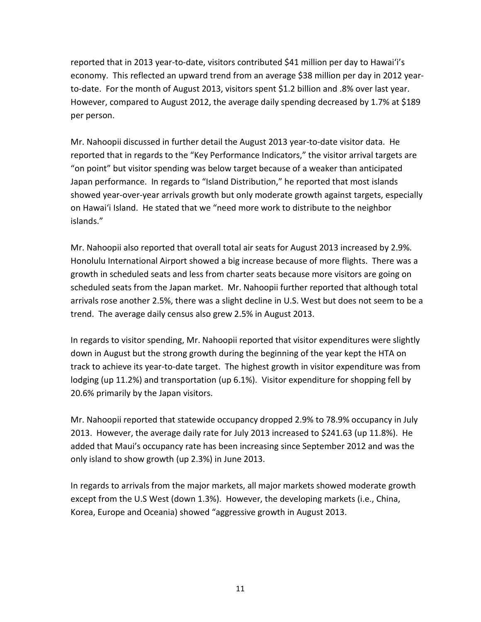reported that in 2013 year-to-date, visitors contributed \$41 million per day to Hawai'i's economy. This reflected an upward trend from an average \$38 million per day in 2012 yearto-date. For the month of August 2013, visitors spent \$1.2 billion and .8% over last year. However, compared to August 2012, the average daily spending decreased by 1.7% at \$189 per person.

Mr. Nahoopii discussed in further detail the August 2013 year-to-date visitor data. He reported that in regards to the "Key Performance Indicators," the visitor arrival targets are "on point" but visitor spending was below target because of a weaker than anticipated Japan performance. In regards to "Island Distribution," he reported that most islands showed year-over-year arrivals growth but only moderate growth against targets, especially on Hawai'i Island. He stated that we "need more work to distribute to the neighbor islands."

Mr. Nahoopii also reported that overall total air seats for August 2013 increased by 2.9%. Honolulu International Airport showed a big increase because of more flights. There was a growth in scheduled seats and less from charter seats because more visitors are going on scheduled seats from the Japan market. Mr. Nahoopii further reported that although total arrivals rose another 2.5%, there was a slight decline in U.S. West but does not seem to be a trend. The average daily census also grew 2.5% in August 2013.

In regards to visitor spending, Mr. Nahoopii reported that visitor expenditures were slightly down in August but the strong growth during the beginning of the year kept the HTA on track to achieve its year-to-date target. The highest growth in visitor expenditure was from lodging (up 11.2%) and transportation (up 6.1%). Visitor expenditure for shopping fell by 20.6% primarily by the Japan visitors.

Mr. Nahoopii reported that statewide occupancy dropped 2.9% to 78.9% occupancy in July 2013. However, the average daily rate for July 2013 increased to \$241.63 (up 11.8%). He added that Maui's occupancy rate has been increasing since September 2012 and was the only island to show growth (up 2.3%) in June 2013.

In regards to arrivals from the major markets, all major markets showed moderate growth except from the U.S West (down 1.3%). However, the developing markets (i.e., China, Korea, Europe and Oceania) showed "aggressive growth in August 2013.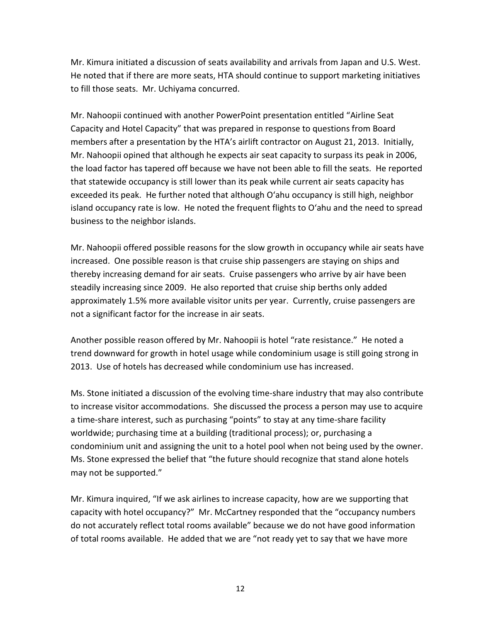Mr. Kimura initiated a discussion of seats availability and arrivals from Japan and U.S. West. He noted that if there are more seats, HTA should continue to support marketing initiatives to fill those seats. Mr. Uchiyama concurred.

Mr. Nahoopii continued with another PowerPoint presentation entitled "Airline Seat Capacity and Hotel Capacity" that was prepared in response to questions from Board members after a presentation by the HTA's airlift contractor on August 21, 2013. Initially, Mr. Nahoopii opined that although he expects air seat capacity to surpass its peak in 2006, the load factor has tapered off because we have not been able to fill the seats. He reported that statewide occupancy is still lower than its peak while current air seats capacity has exceeded its peak. He further noted that although O'ahu occupancy is still high, neighbor island occupancy rate is low. He noted the frequent flights to O'ahu and the need to spread business to the neighbor islands.

Mr. Nahoopii offered possible reasons for the slow growth in occupancy while air seats have increased. One possible reason is that cruise ship passengers are staying on ships and thereby increasing demand for air seats. Cruise passengers who arrive by air have been steadily increasing since 2009. He also reported that cruise ship berths only added approximately 1.5% more available visitor units per year. Currently, cruise passengers are not a significant factor for the increase in air seats.

Another possible reason offered by Mr. Nahoopii is hotel "rate resistance." He noted a trend downward for growth in hotel usage while condominium usage is still going strong in 2013. Use of hotels has decreased while condominium use has increased.

Ms. Stone initiated a discussion of the evolving time-share industry that may also contribute to increase visitor accommodations. She discussed the process a person may use to acquire a time-share interest, such as purchasing "points" to stay at any time-share facility worldwide; purchasing time at a building (traditional process); or, purchasing a condominium unit and assigning the unit to a hotel pool when not being used by the owner. Ms. Stone expressed the belief that "the future should recognize that stand alone hotels may not be supported."

Mr. Kimura inquired, "If we ask airlines to increase capacity, how are we supporting that capacity with hotel occupancy?" Mr. McCartney responded that the "occupancy numbers do not accurately reflect total rooms available" because we do not have good information of total rooms available. He added that we are "not ready yet to say that we have more